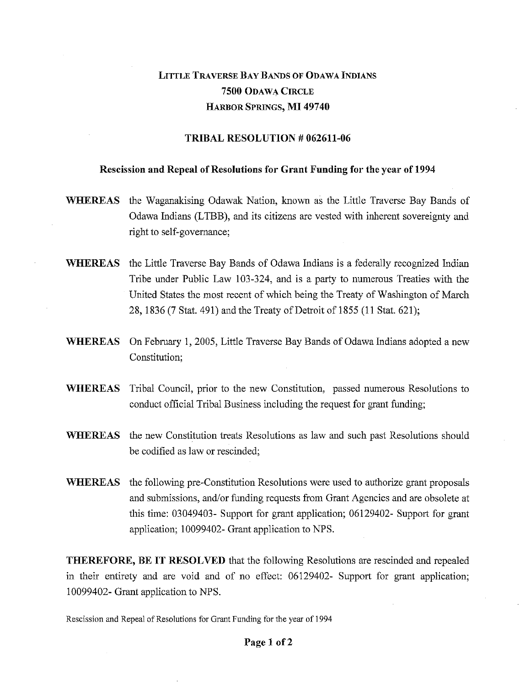# LITTLE TRAVERSE BAY BANDS OF ODAWA INDIANS 7500 ODAWA CIRCLE HARBOR SPRINGS, MI 49740

## TRIBAL RESOLUTION # 062611-06

### Rescission and Repeal of Resolutions for Grant Funding for the year of 1994

- WHEREAS the Waganakising Odawak Nation, known as the Little Traverse Bay Bands of Odawa Indians (LTBB), and its citizens are vested with inherent sovereignty and right to self-governance;
- WHEREAS the Little Traverse Bay Bands of Odawa Indians is a federally recognized Indian Tribe under Public Law 103-324, and is a party to numerous Treaties with the United States the most recent of which being the Treaty of Washington of March 28, 1836 (7 Stat. 491) and the Treaty of Detroit of 1855 (11 Stat. 621);
- WHEREAS On February 1, 2005, Little Traverse Bay Bands of Odawa Indians adopted a new Constitution;
- WHEREAS Tribal Council, prior to the new Constitution, passed numerous Resolutions to conduct official Tribal Business including the request for grant funding;
- WHEREAS the new Constitution treats Resolutions as law and such past Resolutions should be codified as law or rescinded;
- WHEREAS the following pre-Constitution Resolutions were used to authorize grant proposals and submissions, and/or funding requests from Grant Agencies and are obsolete at this time: 03049403- Support for grant application; 06129402- Support for grant application; 10099402- Grant application to NPS.

THEREFORE, BE IT RESOLVED that the following Resolutions are rescinded and repealed in their entirety and are void and of no effect: 06129402- Support for grant application; 10099402- Grant application to NPS.

Rescission and Repeal of Resolutions for Grant Funding for the year of 1994

#### Page 1 of 2